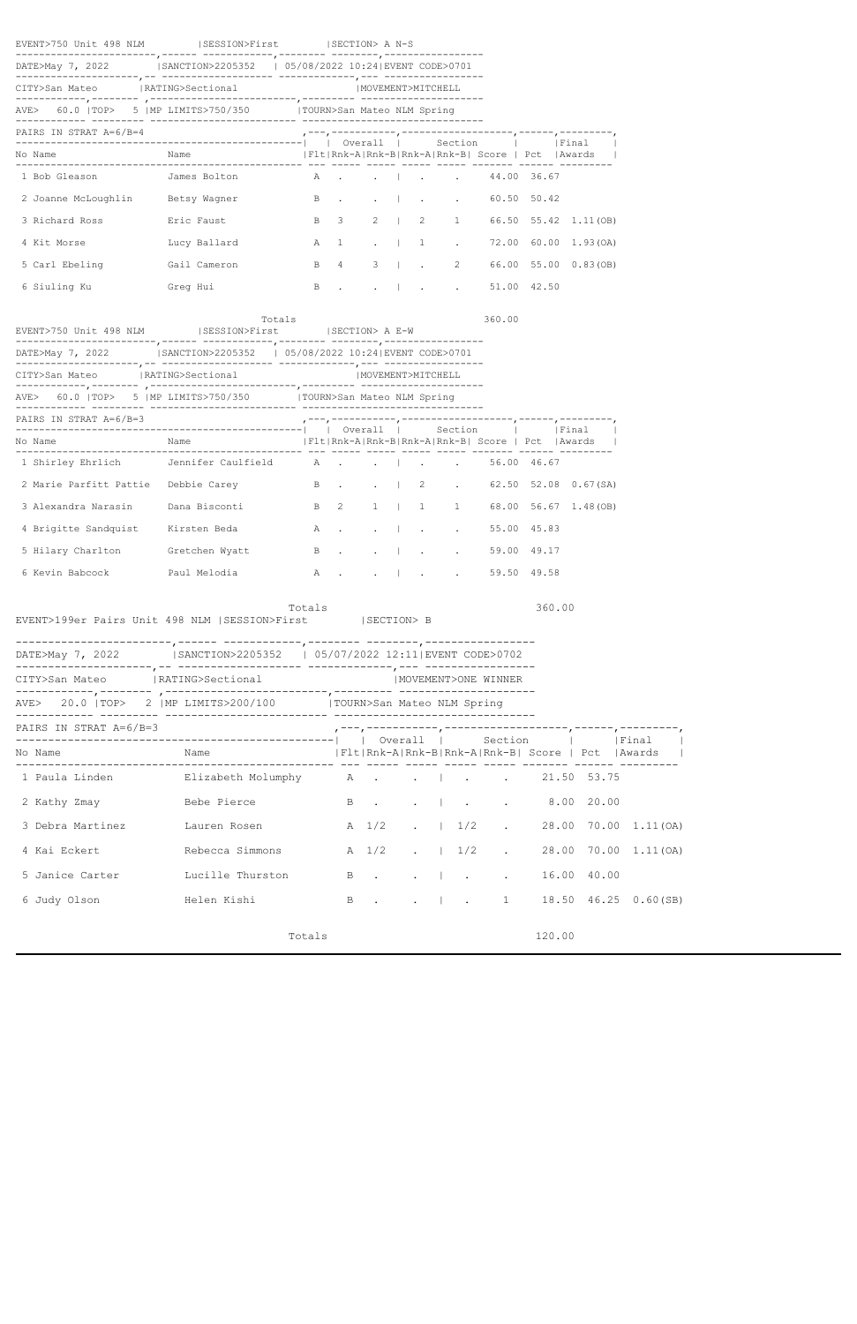| EVENT>750 Unit 498 NLM (SESSION>First (SECTION> A N-S                           |        |              |                            |                   |  | --------------- |                     |                                               |                                          |                               |
|---------------------------------------------------------------------------------|--------|--------------|----------------------------|-------------------|--|-----------------|---------------------|-----------------------------------------------|------------------------------------------|-------------------------------|
| DATE>May 7, 2022   SANCTION>2205352   05/08/2022 10:24   EVENT CODE>0701        |        |              |                            |                   |  |                 |                     |                                               |                                          |                               |
| CITY>San Mateo<br> RATING>Sectional                                             |        |              |                            | MOVEMENT>MITCHELL |  |                 |                     |                                               |                                          |                               |
|                                                                                 |        |              |                            |                   |  |                 |                     |                                               |                                          |                               |
| PAIRS IN STRAT A=6/B=4                                                          |        |              |                            |                   |  |                 |                     |                                               |                                          |                               |
| No Name                                                                         |        |              |                            |                   |  |                 |                     |                                               |                                          |                               |
| 1 Bob Gleason 5ames Bolton A   44.00 36.67                                      |        |              |                            |                   |  |                 |                     |                                               |                                          |                               |
| 2 Joanne McLoughlin Betsy Wagner B. B. H. B. B. B. B. A. S. B. A. 2             |        |              |                            |                   |  |                 |                     |                                               |                                          |                               |
| 3 Richard Ross Bric Faust                                                       |        | $\mathbf{B}$ | $\overline{\phantom{a}}$ 3 |                   |  |                 |                     |                                               | 2   2 1 66.50 55.42 1.11 (OB)            |                               |
| 4 Kit Morse Lucy Ballard A 1                                                    |        |              |                            |                   |  |                 |                     |                                               | $\cdot$   1 $\cdot$ 72.00 60.00 1.93(OA) |                               |
| 5 Carl Ebeling Gail Cameron                                                     |        | $\mathbf{B}$ | 4                          |                   |  |                 |                     |                                               | 3   . 2 66.00 55.00 0.83 (OB)            |                               |
|                                                                                 |        | <b>B</b> .   |                            |                   |  |                 |                     | $\sim$ 1.00 42.50                             |                                          |                               |
|                                                                                 | Totals |              |                            |                   |  |                 | 360.00              |                                               |                                          |                               |
| EVENT>750 Unit 498 NLM   SESSION>First   SECTION> A E-W                         |        |              |                            |                   |  |                 |                     |                                               |                                          |                               |
| DATE>May 7, 2022   SANCTION>2205352   05/08/2022 10:24 EVENT CODE>0701          |        |              |                            |                   |  |                 |                     |                                               |                                          |                               |
| CITY>San Mateo<br> RATING>Sectional                                             |        |              |                            | MOVEMENT>MITCHELL |  |                 |                     |                                               |                                          |                               |
|                                                                                 |        |              |                            |                   |  |                 |                     |                                               |                                          |                               |
| PAIRS IN STRAT A=6/B=3                                                          |        |              |                            |                   |  |                 |                     |                                               |                                          |                               |
| No Name                                                                         |        |              |                            |                   |  |                 |                     |                                               |                                          |                               |
| 1 Shirley Ehrlich Jennifer Caulfield A   56.00 46.67                            |        |              |                            |                   |  |                 |                     |                                               |                                          |                               |
| 2 Marie Parfitt Pattie Debbie Carey B   2 . 62.50 52.08 0.67(SA)                |        |              |                            |                   |  |                 |                     |                                               |                                          |                               |
| 3 Alexandra Narasin Dana Bisconti B 2                                           |        |              |                            |                   |  |                 |                     |                                               | 1   1 1 68.00 56.67 1.48 (OB)            |                               |
| 4 Brigitte Sandquist Kirsten Beda                                               |        |              |                            |                   |  |                 |                     | A   55.00 45.83                               |                                          |                               |
| 5 Hilary Charlton Gretchen Wyatt                                                |        |              |                            |                   |  |                 |                     | B   59.00 49.17                               |                                          |                               |
|                                                                                 |        |              |                            |                   |  |                 |                     | $\cdot$   $\cdot$ $\cdot$ $\cdot$ 59.50 49.58 |                                          |                               |
|                                                                                 |        | Totals       |                            |                   |  |                 |                     | 360.00                                        |                                          |                               |
| EVENT>199er Pairs Unit 498 NLM   SESSION>First                                  |        |              |                            | SECTION> B        |  |                 |                     |                                               |                                          |                               |
| DATE>May 7, 2022   SANCTION>2205352   05/07/2022 12:11 EVENT CODE>0702          |        |              |                            |                   |  |                 |                     |                                               |                                          |                               |
| CITY>San Mateo<br> RATING>Sectional                                             |        |              |                            |                   |  |                 |                     |                                               |                                          |                               |
|                                                                                 |        |              |                            |                   |  |                 | MOVEMENT>ONE WINNER |                                               |                                          |                               |
| AVE> 20.0  TOP> 2  MP LIMITS>200/100  TOURN>San Mateo NLM Spring                |        |              |                            |                   |  |                 |                     |                                               |                                          |                               |
| PAIRS IN STRAT $A=6/B=3$                                                        |        |              |                            |                   |  |                 |                     |                                               |                                          |                               |
| No Name                                                                         |        |              |                            |                   |  |                 |                     |                                               |                                          |                               |
|                                                                                 |        |              |                            |                   |  |                 |                     |                                               |                                          |                               |
| 2 Kathy Zmay <b>Bebe Pierce</b> B   8.00 20.00                                  |        |              |                            |                   |  |                 |                     |                                               |                                          |                               |
| 3 Debra Martinez 1.11 Lauren Rosen 1980 A $1/2$ .   1/2 . 28.00 70.00 1.11 (OA) |        |              |                            |                   |  |                 |                     |                                               |                                          |                               |
| 4 Kai Eckert Kebecca Simmons                                                    |        |              |                            |                   |  |                 | A 1/2 .   1/2 .     |                                               |                                          | 28.00 70.00 1.11 (OA)         |
| 5 Janice Carter Lucille Thurston                                                |        |              |                            |                   |  |                 | B                   |                                               | 16.00 40.00                              |                               |
| 6 Judy Olson Melen Kishi                                                        |        |              |                            |                   |  |                 |                     |                                               |                                          | B   . 1 18.50 46.25 0.60 (SB) |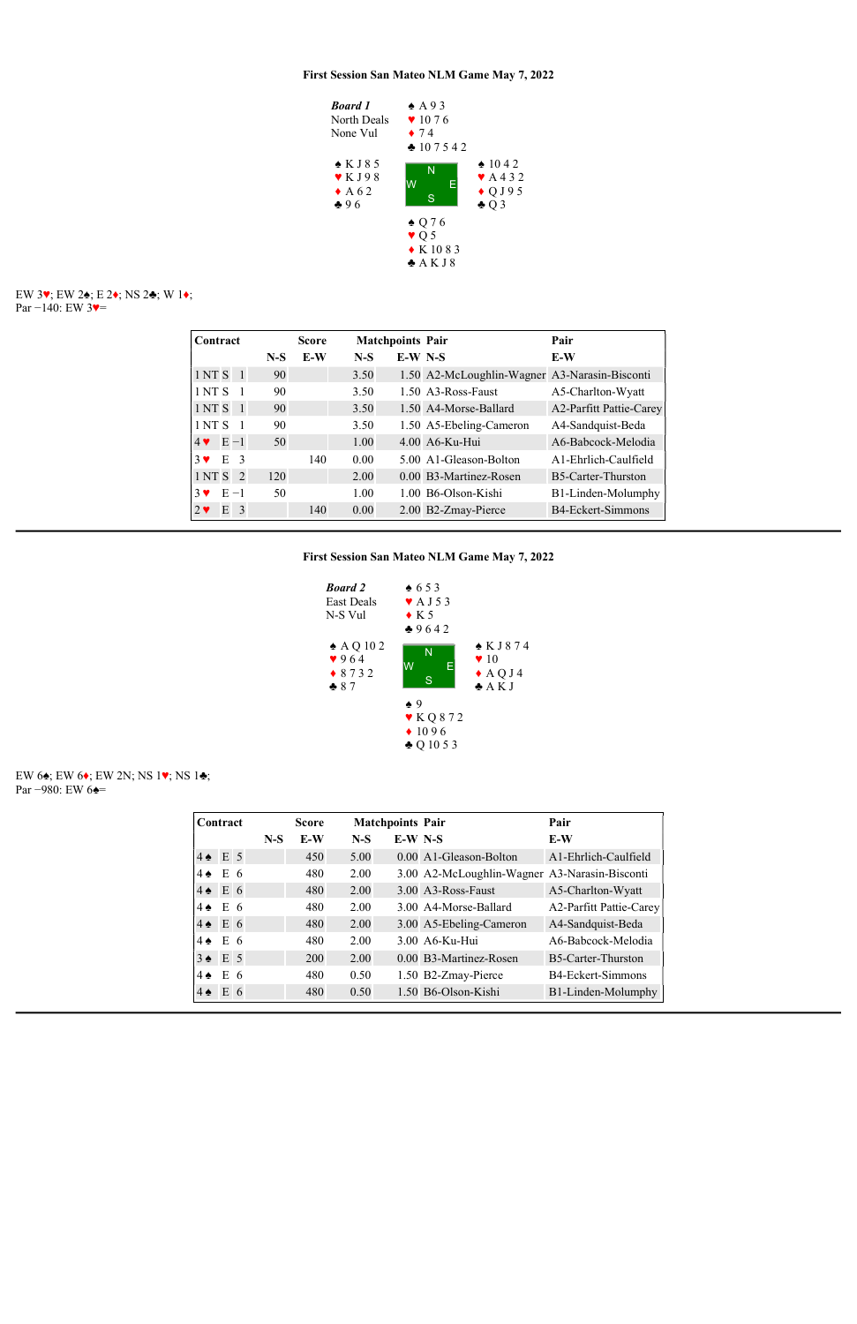

## EW 3♥; EW 2♠; E 2♦; NS 2♣; W 1♦; Par −140: EW 3♥=

### EW 6♠; EW 6♦; EW 2N; NS 1♥; NS 1♣; Par −980: EW 6 $\triangleq$ =

| Contract                                   |       | <b>Score</b> |       | <b>Matchpoints Pair</b> |                                               | Pair                    |
|--------------------------------------------|-------|--------------|-------|-------------------------|-----------------------------------------------|-------------------------|
|                                            | $N-S$ | E-W          | $N-S$ | $E-W$ N-S               |                                               | E-W                     |
| 1NTS <sub>1</sub>                          | 90    |              | 3.50  |                         | 1.50 A2-McLoughlin-Wagner A3-Narasin-Bisconti |                         |
| 1 NT S                                     | 90    |              | 3.50  |                         | 1.50 A3-Ross-Faust                            | A5-Charlton-Wyatt       |
| 1 NT S<br>$\overline{1}$                   | 90    |              | 3.50  |                         | 1.50 A4-Morse-Ballard                         | A2-Parfitt Pattie-Carey |
| 1NTS                                       | 90    |              | 3.50  |                         | 1.50 A5-Ebeling-Cameron                       | A4-Sandquist-Beda       |
| $4 \vee E - 1$                             | 50    |              | 1.00  |                         | 4.00 A6-Ku-Hui                                | A6-Babcock-Melodia      |
| E <sub>3</sub><br>$3$ $\blacktriangledown$ |       | 140          | 0.00  |                         | 5.00 A1-Gleason-Bolton                        | A1-Ehrlich-Caulfield    |
| 1NTS <sub>2</sub>                          | 120   |              | 2.00  |                         | 0.00 B3-Martinez-Rosen                        | B5-Carter-Thurston      |
| $E - 1$<br>$3 \vee$                        | 50    |              | 1.00  |                         | 1.00 B6-Olson-Kishi                           | B1-Linden-Molumphy      |
| E<br>-3<br>$2 \bullet$                     |       | 140          | 0.00  |                         | 2.00 B2-Zmay-Pierce                           | B4-Eckert-Simmons       |



|                   | Contract           |       | <b>Score</b> |       | <b>Matchpoints Pair</b> |                                               | Pair                      |
|-------------------|--------------------|-------|--------------|-------|-------------------------|-----------------------------------------------|---------------------------|
|                   |                    | $N-S$ | E-W          | $N-S$ | $E-W$ N-S               |                                               | E-W                       |
|                   | $4 \triangleq E$ 5 |       | 450          | 5.00  |                         | 0.00 A1-Gleason-Bolton                        | A1-Ehrlich-Caulfield      |
| $4\spadesuit$     | E <sub>6</sub>     |       | 480          | 2.00  |                         | 3.00 A2-McLoughlin-Wagner A3-Narasin-Bisconti |                           |
|                   | $4 \triangleq E6$  |       | 480          | 2.00  |                         | 3.00 A3-Ross-Faust                            | A5-Charlton-Wyatt         |
| $4 \spadesuit$    | E 6                |       | 480          | 2.00  |                         | 3.00 A4-Morse-Ballard                         | A2-Parfitt Pattie-Carey   |
|                   | $4 \triangleq E$ 6 |       | 480          | 2.00  |                         | 3.00 A5-Ebeling-Cameron                       | A4-Sandquist-Beda         |
| $4 \triangleleft$ | E <sub>6</sub>     |       | 480          | 2.00  |                         | 3.00 A6-Ku-Hui                                | A6-Babcock-Melodia        |
|                   | $3 \triangle$ E 5  |       | 200          | 2.00  |                         | 0.00 B3-Martinez-Rosen                        | <b>B5-Carter-Thurston</b> |
| $4\spadesuit$     | E <sub>6</sub>     |       | 480          | 0.50  |                         | 1.50 B2-Zmay-Pierce                           | B4-Eckert-Simmons         |
| $4 \spadesuit$    | E 6                |       | 480          | 0.50  |                         | 1.50 B6-Olson-Kishi                           | B1-Linden-Molumphy        |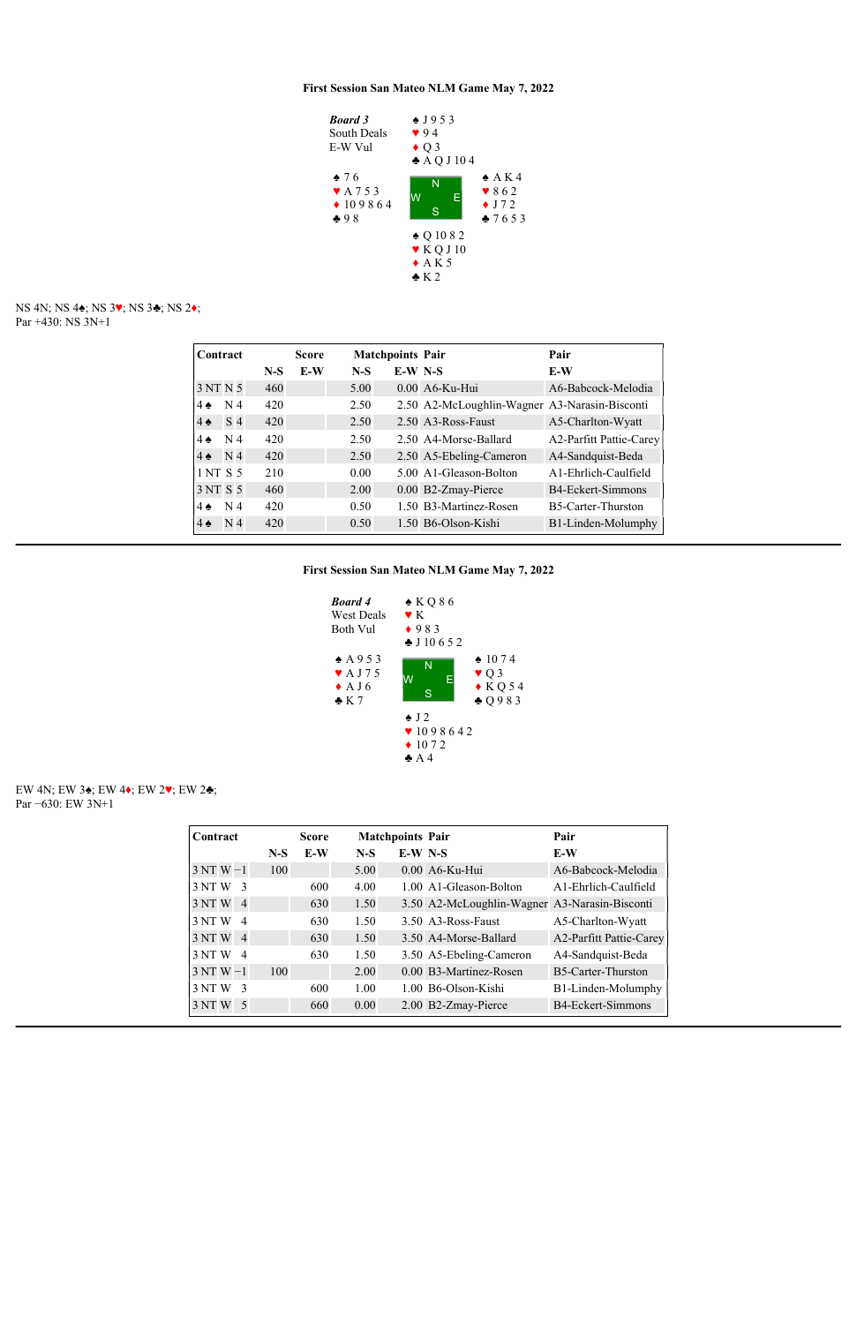

NS 4N; NS 4♠; NS 3♥; NS 3♣; NS 2♦; Par +430: NS 3N+1

| Contract       |                |       | <b>Score</b> | <b>Matchpoints Pair</b> |           |                                               | Pair                    |
|----------------|----------------|-------|--------------|-------------------------|-----------|-----------------------------------------------|-------------------------|
|                |                | $N-S$ | E-W          | $N-S$                   | $E-W$ N-S |                                               | E-W                     |
| 3 NT N 5       |                | 460   |              | 5.00                    |           | 0.00 A6-Ku-Hui                                | A6-Babcock-Melodia      |
| $4 \spadesuit$ | N <sub>4</sub> | 420   |              | 2.50                    |           | 2.50 A2-McLoughlin-Wagner A3-Narasin-Bisconti |                         |
| $4 \triangle$  | S <sub>4</sub> | 420   |              | 2.50                    |           | 2.50 A3-Ross-Faust                            | A5-Charlton-Wyatt       |
| $4\spadesuit$  | N <sub>4</sub> | 420   |              | 2.50                    |           | 2.50 A4-Morse-Ballard                         | A2-Parfitt Pattie-Carey |
| $4 \spadesuit$ | N 4            | 420   |              | 2.50                    |           | 2.50 A5-Ebeling-Cameron                       | A4-Sandquist-Beda       |
| 1 NT S 5       |                | 210   |              | 0.00                    |           | 5.00 A1-Gleason-Bolton                        | A1-Ehrlich-Caulfield    |
| 3 NT S 5       |                | 460   |              | 2.00                    |           | 0.00 B2-Zmay-Pierce                           | B4-Eckert-Simmons       |
| $4 \spadesuit$ | N <sub>4</sub> | 420   |              | 0.50                    |           | 1.50 B3-Martinez-Rosen                        | B5-Carter-Thurston      |
| $4 \spadesuit$ | N <sub>4</sub> | 420   |              | 0.50                    |           | 1.50 B6-Olson-Kishi                           | B1-Linden-Molumphy      |

## First Session San Mateo NLM Game May 7, 2022



#### EW 4N; EW 3♠; EW 4♦; EW 2♥; EW 2♣; Par −630: EW 3N+1

| Contract                |       | <b>Score</b> |       | <b>Matchpoints Pair</b> |                                               | Pair                           |
|-------------------------|-------|--------------|-------|-------------------------|-----------------------------------------------|--------------------------------|
|                         | $N-S$ | E-W          | $N-S$ | $E-W$ N-S               |                                               | $E-W$                          |
| $3NTW-1$                | 100   |              | 5.00  |                         | 0.00 A6-Ku-Hui                                | A6-Babcock-Melodia             |
| 3 NTW<br>3              |       | 600          | 4.00  |                         | 1.00 A1-Gleason-Bolton                        | A1-Ehrlich-Caulfield           |
| 3 NT W 4                |       | 630          | 1.50  |                         | 3.50 A2-McLoughlin-Wagner A3-Narasin-Bisconti |                                |
| $\overline{4}$<br>3 NTW |       | 630          | 1.50  |                         | 3.50 A3-Ross-Faust                            | A5-Charlton-Wyatt              |
| 3 NT W 4                |       | 630          | 1.50  |                         | 3.50 A4-Morse-Ballard                         | <b>A2-Parfitt Pattie-Carey</b> |
| 3 NTW<br>$\overline{4}$ |       | 630          | 1.50  |                         | 3.50 A5-Ebeling-Cameron                       | A4-Sandquist-Beda              |
| $3NTW-1$                | 100   |              | 2.00  |                         | 0.00 B3-Martinez-Rosen                        | B5-Carter-Thurston             |
| -3<br>3 NTW             |       | 600          | 1.00  |                         | 1.00 B6-Olson-Kishi                           | B1-Linden-Molumphy             |
| 3 NTW<br>- 5            |       | 660          | 0.00  |                         | 2.00 B2-Zmay-Pierce                           | <b>B4-Eckert-Simmons</b>       |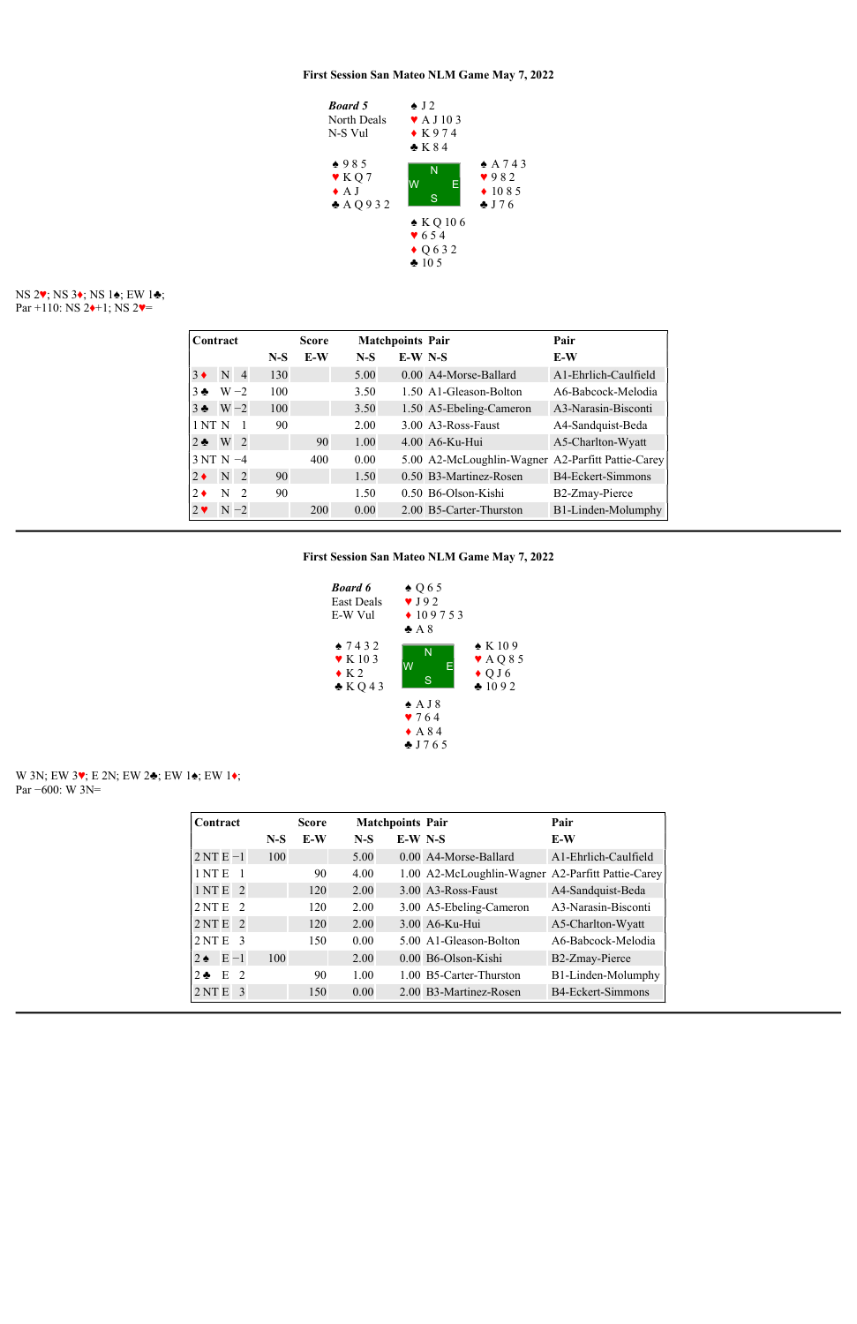## NS 2♥; NS 3♦; NS 1♠; EW 1♣; Par +110: NS  $2 \rightarrow +1$ ; NS  $2 \rightarrow$



### W 3N; EW 3♥; E 2N; EW 2♣; EW 1♠; EW 1♦; Par −600: W 3N=

| Contract    |                |                |       | <b>Score</b> |       | <b>Matchpoints Pair</b> |                                                   | Pair                 |
|-------------|----------------|----------------|-------|--------------|-------|-------------------------|---------------------------------------------------|----------------------|
|             |                |                | $N-S$ | E-W          | $N-S$ | $E-W$ N-S               |                                                   | E-W                  |
| $3 \bullet$ | N <sub>4</sub> |                | 130   |              | 5.00  |                         | 0.00 A4-Morse-Ballard                             | A1-Ehrlich-Caulfield |
| $3 - 5$     | $W - 2$        |                | 100   |              | 3.50  |                         | 1.50 A1-Gleason-Bolton                            | A6-Babcock-Melodia   |
| $3 \bullet$ | $W - 2$        |                | 100   |              | 3.50  |                         | 1.50 A5-Ebeling-Cameron                           | A3-Narasin-Bisconti  |
| 1NTN        |                |                | 90    |              | 2.00  |                         | 3.00 A3-Ross-Faust                                | A4-Sandquist-Beda    |
| $2 \bullet$ | W              | $\overline{2}$ |       | 90           | 1.00  |                         | 4.00 A6-Ku-Hui                                    | A5-Charlton-Wyatt    |
| $3NTN -4$   |                |                |       | 400          | 0.00  |                         | 5.00 A2-McLoughlin-Wagner A2-Parfitt Pattie-Carey |                      |
| $2 \bullet$ | N <sub>2</sub> |                | 90    |              | 1.50  |                         | 0.50 B3-Martinez-Rosen                            | B4-Eckert-Simmons    |
| $2 \bullet$ | N              | $\overline{2}$ | 90    |              | 1.50  |                         | 0.50 B6-Olson-Kishi                               | B2-Zmay-Pierce       |
| $2 \bullet$ | $N - 2$        |                |       | 200          | 0.00  |                         | 2.00 B5-Carter-Thurston                           | B1-Linden-Molumphy   |



| Contract                           |       | <b>Score</b> |       | <b>Matchpoints Pair</b> |                                                   | Pair                 |
|------------------------------------|-------|--------------|-------|-------------------------|---------------------------------------------------|----------------------|
|                                    | $N-S$ | E-W          | $N-S$ | $E-W$ N-S               |                                                   | E-W                  |
| $2NTE-1$                           | 100   |              | 5.00  |                         | 0.00 A4-Morse-Ballard                             | A1-Ehrlich-Caulfield |
| 1 <sub>NT</sub> E                  |       | 90           | 4.00  |                         | 1.00 A2-McLoughlin-Wagner A2-Parfitt Pattie-Carey |                      |
| 1NTE<br>$\overline{2}$             |       | 120          | 2.00  |                         | 3.00 A3-Ross-Faust                                | A4-Sandquist-Beda    |
| 2NTE<br>$\overline{2}$             |       | 120          | 2.00  |                         | 3.00 A5-Ebeling-Cameron                           | A3-Narasin-Bisconti  |
| $2NTE$ 2                           |       | 120          | 2.00  |                         | 3.00 A6-Ku-Hui                                    | A5-Charlton-Wyatt    |
| 2NTE<br>-3                         |       | 150          | 0.00  |                         | 5.00 A1-Gleason-Bolton                            | A6-Babcock-Melodia   |
| $E - 1$<br>$2 \bullet$             | 100   |              | 2.00  |                         | $0.00$ B <sub>6</sub> -Olson-Kishi                | B2-Zmay-Pierce       |
| E<br>$\overline{2}$<br>$2 \bullet$ |       | 90           | 1.00  |                         | 1.00 B5-Carter-Thurston                           | B1-Linden-Molumphy   |
| 2NTE<br>3                          |       | 150          | 0.00  |                         | 2.00 B3-Martinez-Rosen                            | B4-Eckert-Simmons    |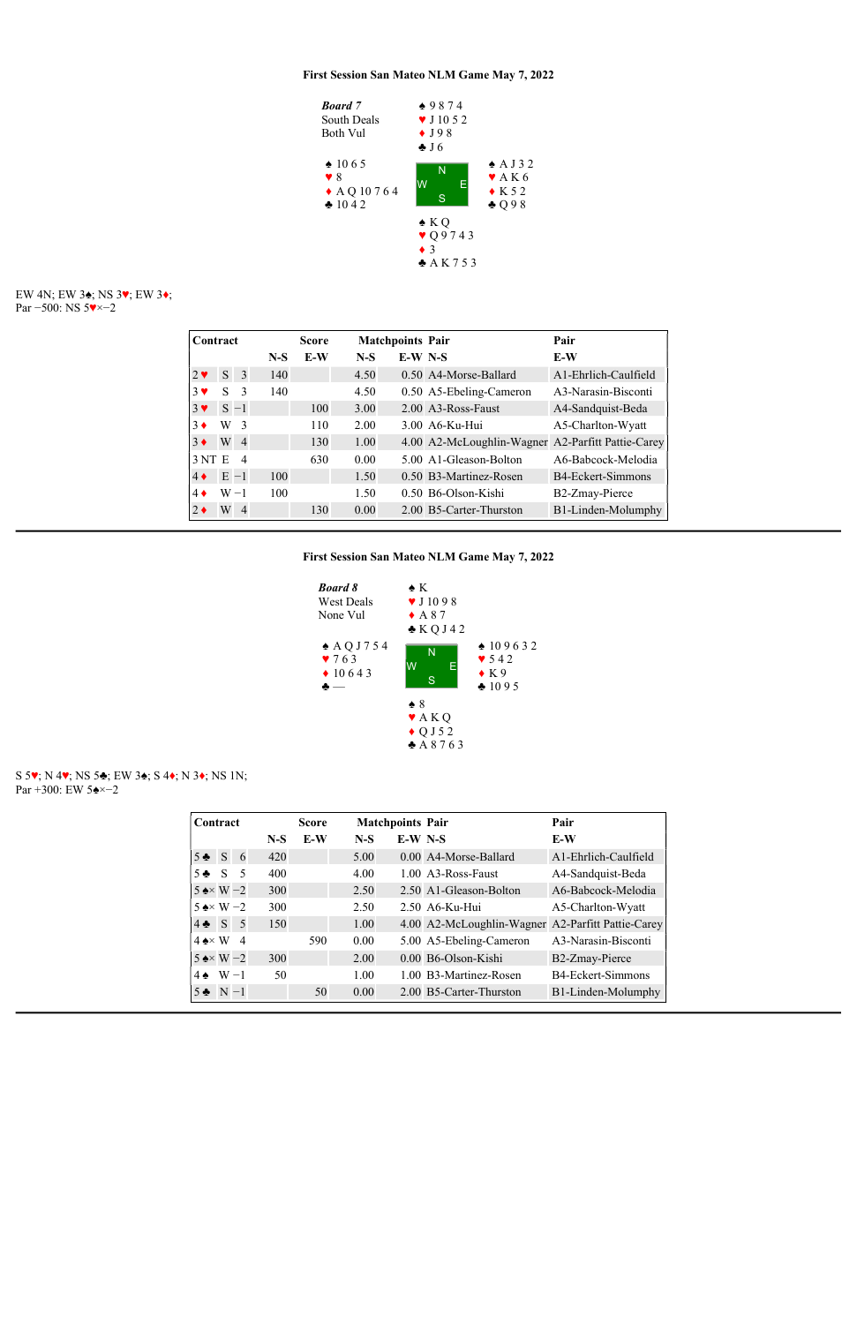

### EW 4N; EW 3♠; NS 3♥; EW 3♦; Par −500: NS 5♥×−2

| Contract               |         |                |       | <b>Score</b> | <b>Matchpoints Pair</b> |           |                                                   | Pair                 |
|------------------------|---------|----------------|-------|--------------|-------------------------|-----------|---------------------------------------------------|----------------------|
|                        |         |                | $N-S$ | E-W          | $N-S$                   | $E-W$ N-S |                                                   | E-W                  |
| $2 \blacktriangledown$ |         | $S \quad 3$    | 140   |              | 4.50                    |           | 0.50 A4-Morse-Ballard                             | A1-Ehrlich-Caulfield |
| $3 \vee$               | S       | 3              | 140   |              | 4.50                    |           | 0.50 A5-Ebeling-Cameron                           | A3-Narasin-Bisconti  |
| $3 \vee$               |         | $S - 1$        |       | 100          | 3.00                    |           | 2.00 A3-Ross-Faust                                | A4-Sandquist-Beda    |
| $3 \bullet$            | W       | $\overline{3}$ |       | 110          | 2.00                    |           | 3.00 A6-Ku-Hui                                    | A5-Charlton-Wyatt    |
| $3 \bullet$            | $W_4$   |                |       | 130          | 1.00                    |           | 4.00 A2-McLoughlin-Wagner A2-Parfitt Pattie-Carey |                      |
| 3NTE                   |         | $\overline{4}$ |       | 630          | 0.00                    |           | 5.00 A1-Gleason-Bolton                            | A6-Babcock-Melodia   |
| $4\bullet$             | $E -1$  |                | 100   |              | 1.50                    |           | 0.50 B3-Martinez-Rosen                            | B4-Eckert-Simmons    |
| $4\bullet$             | $W - 1$ |                | 100   |              | 1.50                    |           | 0.50 B6-Olson-Kishi                               | B2-Zmay-Pierce       |
| $2 \bullet$            | $W_4$   |                |       | 130          | 0.00                    |           | 2.00 B5-Carter-Thurston                           | B1-Linden-Molumphy   |

First Session San Mateo NLM Game May 7, 2022



S 5♥; N 4♥; NS 5♣; EW 3♠; S 4♦; N 3♦; NS 1N; Par +300: EW 5♠×−2

| Contract                                       |     |       | <b>Score</b> | <b>Matchpoints Pair</b> |           |                                                   | Pair                 |
|------------------------------------------------|-----|-------|--------------|-------------------------|-----------|---------------------------------------------------|----------------------|
|                                                |     | $N-S$ | E-W          | $N-S$                   | $E-W$ N-S |                                                   | E-W                  |
| $5 \triangle S$                                | - 6 | 420   |              | 5.00                    |           | 0.00 A4-Morse-Ballard                             | A1-Ehrlich-Caulfield |
| $5 \triangleq S$                               | - 5 | 400   |              | 4.00                    |           | 1.00 A3-Ross-Faust                                | A4-Sandquist-Beda    |
| $5 \triangle \times W - 2$                     |     | 300   |              | 2.50                    |           | 2.50 A1-Gleason-Bolton                            | A6-Babcock-Melodia   |
| $5 \triangle \times W - 2$                     |     | 300   |              | 2.50                    |           | 2.50 A6-Ku-Hui                                    | A5-Charlton-Wyatt    |
| $4 \cdot S$ 5 5                                |     | 150   |              | 1.00                    |           | 4.00 A2-McLoughlin-Wagner A2-Parfitt Pattie-Carey |                      |
| $4 \triangle \times W$ 4                       |     |       | 590          | 0.00                    |           | 5.00 A5-Ebeling-Cameron                           | A3-Narasin-Bisconti  |
| $5 \leftrightarrow W - 2$                      |     | 300   |              | 2.00                    |           | 0.00 B6-Olson-Kishi                               | B2-Zmay-Pierce       |
| $\mathbf{A}$ and $\mathbf{A}$ and $\mathbf{A}$ |     |       |              | $\sim$ $\sim$ $\sim$    |           |                                                   | <b>PIPI</b> 2        |

| $4 \cdot W - 1$   |         | $1.00 -$ | 1.00 B3-Martinez-Rosen  | B4-Eckert-Simmons  |
|-------------------|---------|----------|-------------------------|--------------------|
| $5 \bullet N - 1$ | 50 0.00 |          | 2.00 B5-Carter-Thurston | B1-Linden-Molumphy |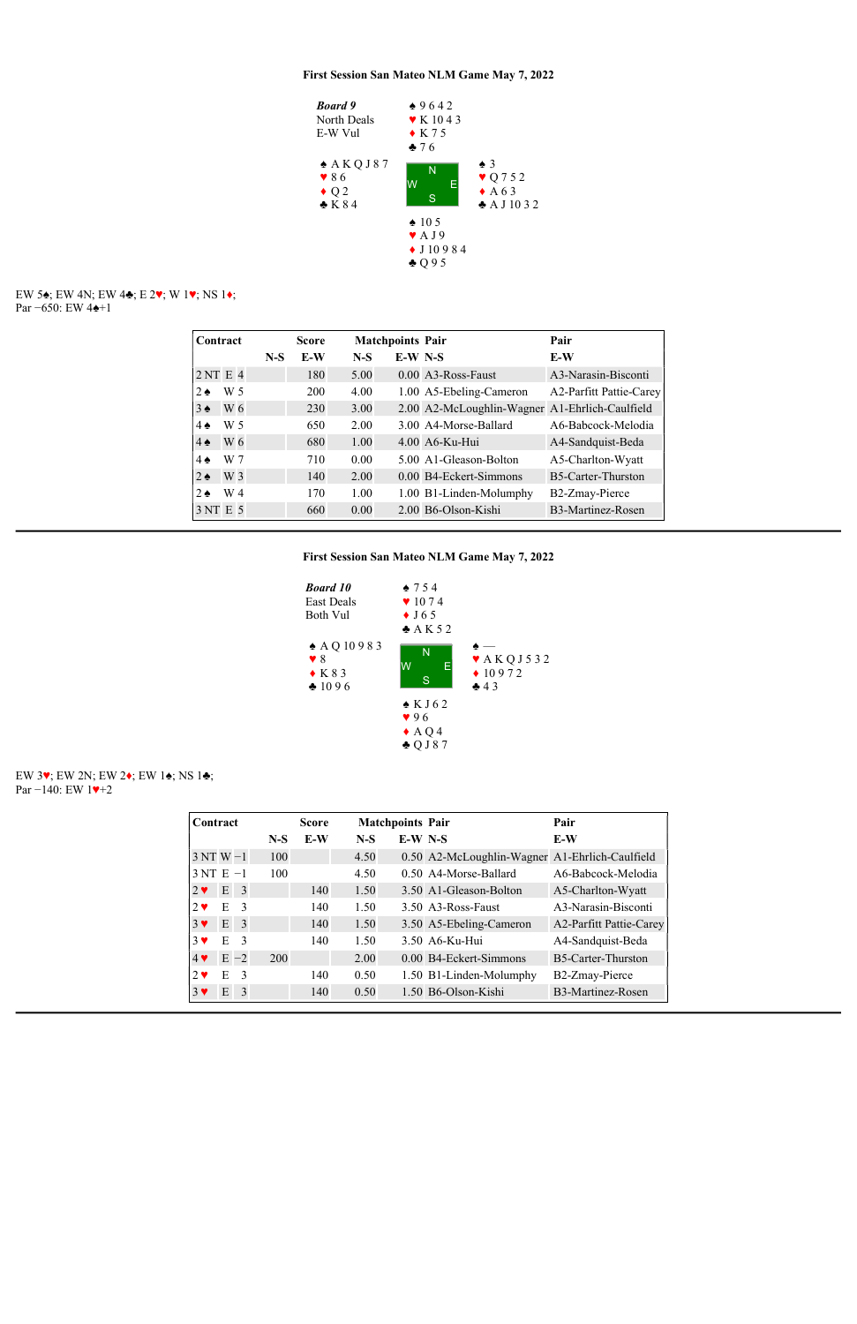

## EW 5♠; EW 4N; EW 4♣; E 2♥; W 1♥; NS 1♦; Par −650: EW 4♠+1

| Contract          |     |       | <b>Score</b> |       | <b>Matchpoints Pair</b> |                                                | Pair                      |
|-------------------|-----|-------|--------------|-------|-------------------------|------------------------------------------------|---------------------------|
|                   |     | $N-S$ | E-W          | $N-S$ | $E-W$ N-S               |                                                | E-W                       |
| 2NTE4             |     |       | 180          | 5.00  |                         | 0.00 A3-Ross-Faust                             | A3-Narasin-Bisconti       |
| $2 \triangleleft$ | W 5 |       | 200          | 4.00  |                         | 1.00 A5-Ebeling-Cameron                        | A2-Parfitt Pattie-Carey   |
| $3 \triangleleft$ | W 6 |       | 230          | 3.00  |                         | 2.00 A2-McLoughlin-Wagner A1-Ehrlich-Caulfield |                           |
| $4\spadesuit$     | W 5 |       | 650          | 2.00  |                         | 3.00 A4-Morse-Ballard                          | A6-Babcock-Melodia        |
| $4\spadesuit$     | W 6 |       | 680          | 1.00  |                         | $4.00$ A6-Ku-Hui                               | A4-Sandquist-Beda         |
| $4\spadesuit$     | W 7 |       | 710          | 0.00  |                         | 5.00 A1-Gleason-Bolton                         | A5-Charlton-Wyatt         |
| $2 \triangleleft$ | W 3 |       | 140          | 2.00  |                         | 0.00 B4-Eckert-Simmons                         | <b>B5-Carter-Thurston</b> |
| $2 \triangleleft$ | W 4 |       | 170          | 1.00  |                         | 1.00 B1-Linden-Molumphy                        | B2-Zmay-Pierce            |
| 3 NT E 5          |     |       | 660          | 0.00  |                         | 2.00 B6-Olson-Kishi                            | B3-Martinez-Rosen         |

# First Session San Mateo NLM Game May 7, 2022



### EW 3♥; EW 2N; EW 2♦; EW 1♠; NS 1♣; Par −140: EW 1♥+2

| Contract                 |   |                |       | <b>Score</b> |       | <b>Matchpoints Pair</b> |                                                | Pair                    |
|--------------------------|---|----------------|-------|--------------|-------|-------------------------|------------------------------------------------|-------------------------|
|                          |   |                | $N-S$ | E-W          | $N-S$ | $E-W$ N-S               |                                                | E-W                     |
| $3NTW-1$                 |   |                | 100   |              | 4.50  |                         | 0.50 A2-McLoughlin-Wagner A1-Ehrlich-Caulfield |                         |
| $3NT E -1$               |   |                | 100   |              | 4.50  |                         | 0.50 A4-Morse-Ballard                          | A6-Babcock-Melodia      |
| $2 \blacktriangledown$   |   | E <sub>3</sub> |       | 140          | 1.50  |                         | 3.50 A1-Gleason-Bolton                         | A5-Charlton-Wyatt       |
| $2 \bullet$              | E | $\overline{3}$ |       | 140          | 1.50  |                         | 3.50 A3-Ross-Faust                             | A3-Narasin-Bisconti     |
| $3 \vee$                 | E | $\overline{3}$ |       | 140          | 1.50  |                         | 3.50 A5-Ebeling-Cameron                        | A2-Parfitt Pattie-Carey |
| $3 \vee$                 | E | $\overline{3}$ |       | 140          | 1.50  |                         | 3.50 A6-Ku-Hui                                 | A4-Sandquist-Beda       |
| $4$ $\blacktriangledown$ |   | $E -2$         | 200   |              | 2.00  |                         | 0.00 B4-Eckert-Simmons                         | B5-Carter-Thurston      |
| $2 \bullet$              | E | $\overline{3}$ |       | 140          | 0.50  |                         | 1.50 B1-Linden-Molumphy                        | B2-Zmay-Pierce          |
| $3 \vee$                 | E | -3             |       | 140          | 0.50  |                         | 1.50 B6-Olson-Kishi                            | B3-Martinez-Rosen       |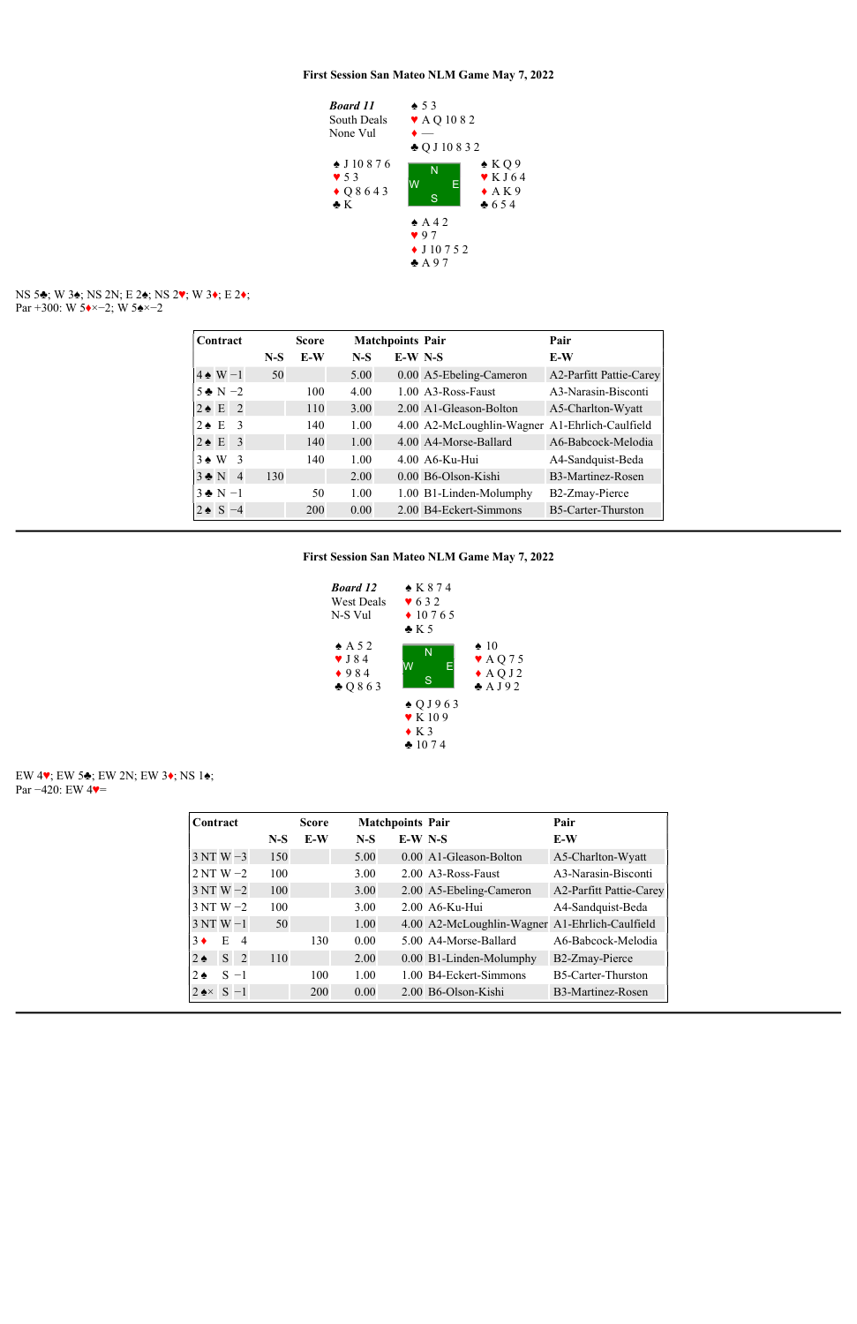### NS 5♣; W 3♠; NS 2N; E 2♠; NS 2♥; W 3♦; E 2♦; Par +300: W 5◆×−2; W 5◆×−2



### EW 4♥; EW 5♣; EW 2N; EW 3♦; NS 1♠; Par –420: EW 4♥=

|                 | Contract              |                |       | <b>Score</b> |       | <b>Matchpoints Pair</b> |                                                | Pair                           |
|-----------------|-----------------------|----------------|-------|--------------|-------|-------------------------|------------------------------------------------|--------------------------------|
|                 |                       |                | $N-S$ | E-W          | $N-S$ | $E-W$ N-S               |                                                | E-W                            |
|                 | $4 \triangle W - 1$   |                | 50    |              | 5.00  |                         | 0.00 A5-Ebeling-Cameron                        | <b>A2-Parfitt Pattie-Carey</b> |
|                 | $5 \div N - 2$        |                |       | 100          | 4.00  |                         | $1.00\text{ A}3-R$ oss-Faust                   | A3-Narasin-Bisconti            |
|                 | $2 \triangle E$       | $\overline{2}$ |       | 110          | 3.00  |                         | 2.00 A1-Gleason-Bolton                         | A5-Charlton-Wyatt              |
| $2 \triangle F$ |                       | -3             |       | 140          | 1.00  |                         | 4.00 A2-McLoughlin-Wagner A1-Ehrlich-Caulfield |                                |
|                 | $2 \triangleleft E$ 3 |                |       | 140          | 1.00  |                         | 4.00 A4-Morse-Ballard                          | A6-Babcock-Melodia             |
|                 | $3 \triangle W$       | -3             |       | 140          | 1.00  |                         | $4.00$ A6-Ku-Hui                               | A4-Sandquist-Beda              |
|                 | $3 \cdot N$           | $\overline{4}$ | 130   |              | 2.00  |                         | 0.00 B6-Olson-Kishi                            | B3-Martinez-Rosen              |
|                 | $3 \bullet N - 1$     |                |       | 50           | 1.00  |                         | 1.00 B1-Linden-Molumphy                        | B2-Zmay-Pierce                 |
|                 | $2 \bullet S - 4$     |                |       | 200          | 0.00  |                         | 2.00 B4-Eckert-Simmons                         | B5-Carter-Thurston             |



| Contract                   |        |                |       | <b>Score</b> |       | <b>Matchpoints Pair</b> |                                                | Pair                    |
|----------------------------|--------|----------------|-------|--------------|-------|-------------------------|------------------------------------------------|-------------------------|
|                            |        |                | $N-S$ | E-W          | $N-S$ | $E-W$ N-S               |                                                | E-W                     |
| $3NTW-3$                   |        |                | 150   |              | 5.00  |                         | 0.00 A1-Gleason-Bolton                         | A5-Charlton-Wyatt       |
| $2NTW - 2$                 |        |                | 100   |              | 3.00  |                         | 2.00 A3-Ross-Faust                             | A3-Narasin-Bisconti     |
| $3NTW - 2$                 |        |                | 100   |              | 3.00  |                         | 2.00 A5-Ebeling-Cameron                        | A2-Parfitt Pattie-Carey |
| $3NTW - 2$                 |        |                | 100   |              | 3.00  |                         | $2.00$ A6-Ku-Hui                               | A4-Sandquist-Beda       |
| $3NTW-1$                   |        |                | 50    |              | 1.00  |                         | 4.00 A2-McLoughlin-Wagner A1-Ehrlich-Caulfield |                         |
| $3 \bullet$                | E.     | $\overline{4}$ |       | 130          | 0.00  |                         | 5.00 A4-Morse-Ballard                          | A6-Babcock-Melodia      |
| $2 \triangleleft$          | S.     | $\overline{2}$ | 110   |              | 2.00  |                         | 0.00 B1-Linden-Molumphy                        | B2-Zmay-Pierce          |
| $2 \triangleleft$          | $S -1$ |                |       | 100          | 1.00  |                         | 1.00 B4-Eckert-Simmons                         | B5-Carter-Thurston      |
| $2 \triangle \times S - 1$ |        |                |       | 200          | 0.00  |                         | 2.00 B6-Olson-Kishi                            | B3-Martinez-Rosen       |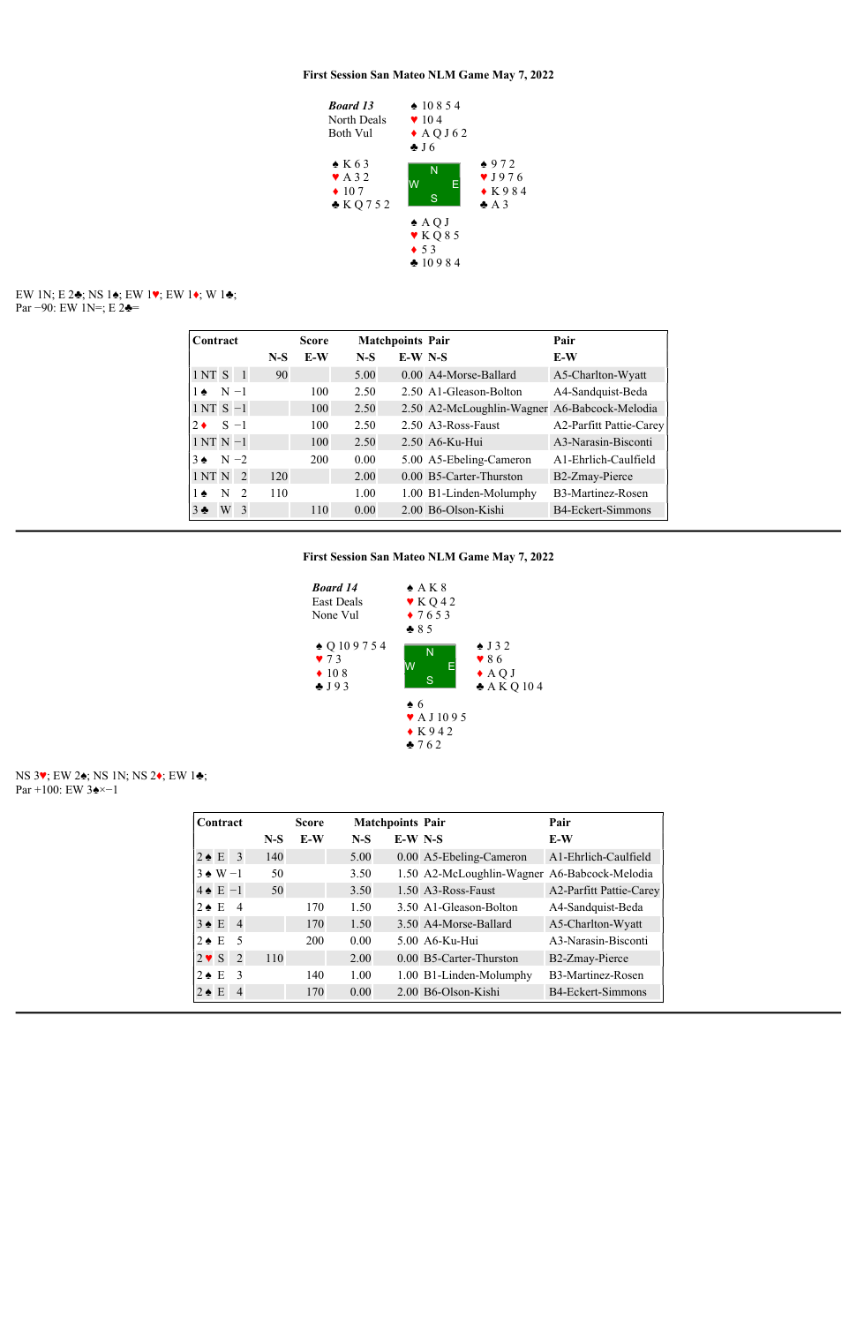EW 1N; E 2♣; NS 1♠; EW 1♥; EW 1♦; W 1♣; Par −90: EW 1N=; E 2 $\triangleleft$ =



| Contract    |         |                |       | <b>Score</b> |       | <b>Matchpoints Pair</b> |                                              | Pair                    |
|-------------|---------|----------------|-------|--------------|-------|-------------------------|----------------------------------------------|-------------------------|
|             |         |                | $N-S$ | E-W          | $N-S$ | $E-W$ N-S               |                                              | E-W                     |
| 1NT S       |         | $\blacksquare$ | 90    |              | 5.00  |                         | 0.00 A4-Morse-Ballard                        | A5-Charlton-Wyatt       |
| $1 \bullet$ | $N - 1$ |                |       | 100          | 2.50  |                         | 2.50 A1-Gleason-Bolton                       | A4-Sandquist-Beda       |
| $1NTS -1$   |         |                |       | 100          | 2.50  |                         | 2.50 A2-McLoughlin-Wagner A6-Babcock-Melodia |                         |
| $2 \bullet$ | $S -1$  |                |       | 100          | 2.50  |                         | 2.50 A3-Ross-Faust                           | A2-Parfitt Pattie-Carey |
| $1NTN-1$    |         |                |       | 100          | 2.50  |                         | $2.50$ A6-Ku-Hui                             | A3-Narasin-Bisconti     |
| $3 \bullet$ | $N-2$   |                |       | 200          | 0.00  |                         | 5.00 A5-Ebeling-Cameron                      | A 1-Ehrlich-Caulfield   |
| 1 NT N      |         | <sup>2</sup>   | 120   |              | 2.00  |                         | 0.00 B5-Carter-Thurston                      | B2-Zmay-Pierce          |
| $1 \bullet$ | N       | $\overline{2}$ | 110   |              | 1.00  |                         | 1.00 B1-Linden-Molumphy                      | B3-Martinez-Rosen       |
| $3 - 5$     | W       | -3             |       | 110          | 0.00  |                         | 2.00 B6-Olson-Kishi                          | B4-Eckert-Simmons       |

First Session San Mateo NLM Game May 7, 2022



### NS 3♥; EW 2♠; NS 1N; NS 2♦; EW 1♣; Par +100: EW 3♠×−1

| Contract              |                 |       | <b>Score</b> |       | <b>Matchpoints Pair</b> |                                              | Pair                    |
|-----------------------|-----------------|-------|--------------|-------|-------------------------|----------------------------------------------|-------------------------|
|                       |                 | $N-S$ | E-W          | $N-S$ | $E-W$ N-S               |                                              | E-W                     |
| $2 \triangleleft E$ 3 |                 | 140   |              | 5.00  |                         | 0.00 A5-Ebeling-Cameron                      | A1-Ehrlich-Caulfield    |
| $3 \triangle W - 1$   |                 | 50    |              | 3.50  |                         | 1.50 A2-McLoughlin-Wagner A6-Babcock-Melodia |                         |
| $4 \triangleq E - 1$  |                 | 50    |              | 3.50  |                         | 1.50 A3-Ross-Faust                           | A2-Parfitt Pattie-Carey |
| $2 \triangle E$       | $\overline{4}$  |       | 170          | 1.50  |                         | 3.50 A1-Gleason-Bolton                       | A4-Sandquist-Beda       |
| $3 \triangle E$       | $\overline{4}$  |       | 170          | 1.50  |                         | 3.50 A4-Morse-Ballard                        | A5-Charlton-Wyatt       |
| $2 \triangle E$       | $5\overline{)}$ |       | 200          | 0.00  |                         | 5.00 A6-Ku-Hui                               | A3-Narasin-Bisconti     |
| $2 \vee S$            | $\overline{2}$  | 110   |              | 2.00  |                         | $0.00$ B5-Carter-Thurston                    | B2-Zmay-Pierce          |
| $2 \triangle E$       | - 3             |       | 140          | 1.00  |                         | 1.00 B1-Linden-Molumphy                      | B3-Martinez-Rosen       |
| $2 \triangle E$       | $\overline{4}$  |       | 170          | 0.00  |                         | 2.00 B6-Olson-Kishi                          | B4-Eckert-Simmons       |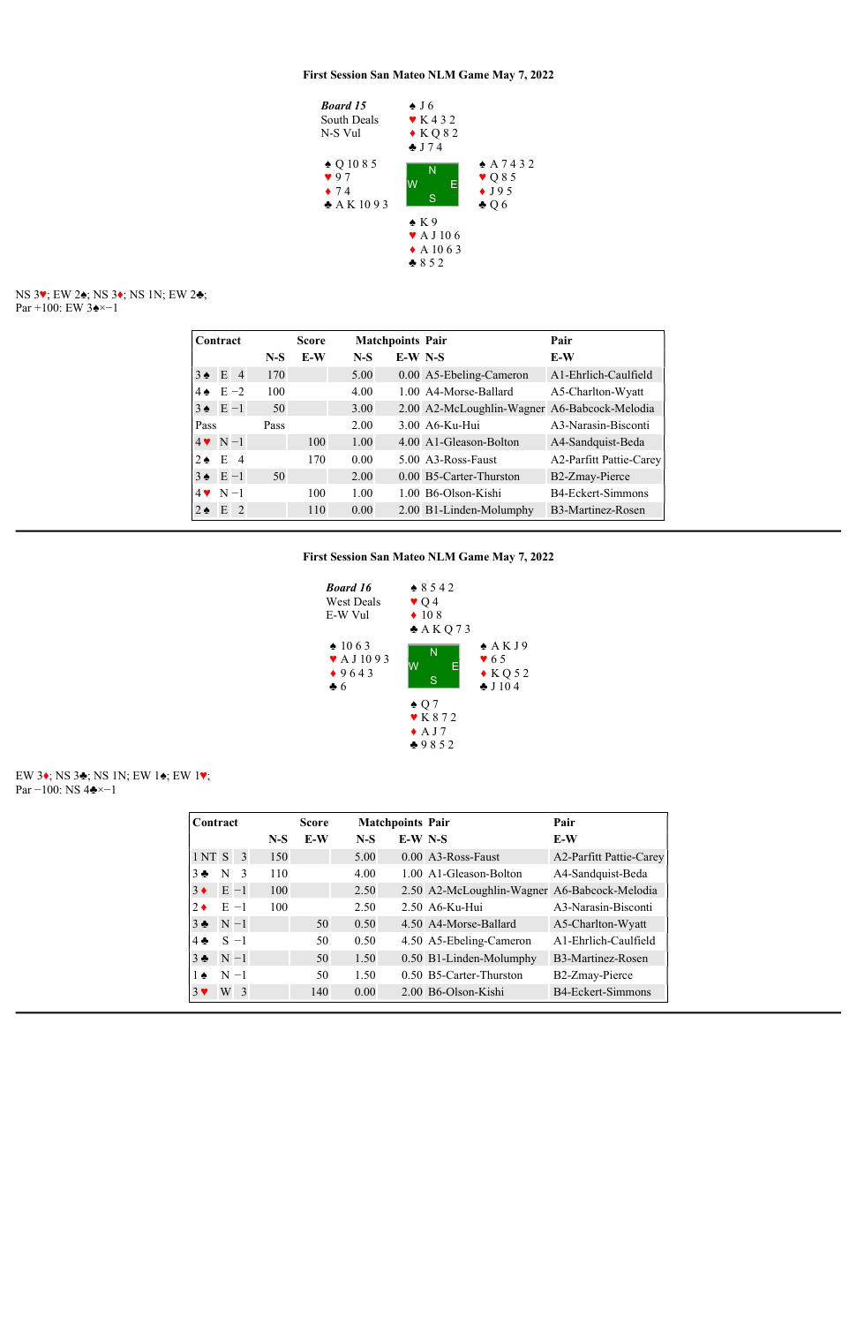

NS 3♥; EW 2♠; NS 3♦; NS 1N; EW 2♣; Par +100: EW 3♠×−1

|                       | Contract |   |       | <b>Score</b> | <b>Matchpoints Pair</b> |           |                                              | Pair                           |
|-----------------------|----------|---|-------|--------------|-------------------------|-----------|----------------------------------------------|--------------------------------|
|                       |          |   | $N-S$ | E-W          | $N-S$                   | $E-W$ N-S |                                              | E-W                            |
| $3 \triangleq E$ 4    |          |   | 170   |              | 5.00                    |           | 0.00 A5-Ebeling-Cameron                      | A1-Ehrlich-Caulfield           |
| $4 \triangleq E - 2$  |          |   | 100   |              | 4.00                    |           | 1.00 A4-Morse-Ballard                        | A5-Charlton-Wyatt              |
| $3 \triangleq E-1$    |          |   | 50    |              | 3.00                    |           | 2.00 A2-McLoughlin-Wagner A6-Babcock-Melodia |                                |
| Pass                  |          |   | Pass  |              | 2.00                    |           | 3.00 A6-Ku-Hui                               | A3-Narasin-Bisconti            |
| $4 \cdot N - 1$       |          |   |       | 100          | 1.00                    |           | 4.00 A1-Gleason-Bolton                       | A4-Sandquist-Beda              |
| $2 \triangleleft E 4$ |          |   |       | 170          | 0.00                    |           | $5.00\text{ A}3-R$ oss-Faust                 | <b>A2-Parfitt Pattie-Carey</b> |
| $3 \triangleq E-1$    |          |   | 50    |              | 2.00                    |           | 0.00 B5-Carter-Thurston                      | B2-Zmay-Pierce                 |
| $4 \cdot N - 1$       |          |   |       | 100          | 1.00                    |           | 1.00 B6-Olson-Kishi                          | B4-Eckert-Simmons              |
| $2 \triangle$         | E        | 2 |       | 110          | 0.00                    |           | 2.00 B1-Linden-Molumphy                      | B3-Martinez-Rosen              |

First Session San Mateo NLM Game May 7, 2022



EW 3♦; NS 3♣; NS 1N; EW 1♠; EW 1♥; Par −100: NS 4♣×−1

| Contract      |         |                |       | <b>Score</b> |       | <b>Matchpoints Pair</b> |                                              | Pair                     |
|---------------|---------|----------------|-------|--------------|-------|-------------------------|----------------------------------------------|--------------------------|
|               |         |                | $N-S$ | $E-W$        | $N-S$ | $E-W$ N-S               |                                              | E-W                      |
| 1 NT S        |         | $\overline{3}$ | 150   |              | 5.00  |                         | 0.00 A3-Ross-Faust                           | A2-Parfitt Pattie-Carey  |
| $3 -$         | N       | -3             | 110   |              | 4.00  |                         | 1.00 A1-Gleason-Bolton                       | A4-Sandquist-Beda        |
| $3 \bullet$   |         | $E -1$         | 100   |              | 2.50  |                         | 2.50 A2-McLoughlin-Wagner A6-Babcock-Melodia |                          |
| $2 \bullet$   | $E -1$  |                | 100   |              | 2.50  |                         | $2.50$ A6-Ku-Hui                             | A3-Narasin-Bisconti      |
| $3 -$         | $N-1$   |                |       | 50           | 0.50  |                         | 4.50 A4-Morse-Ballard                        | A5-Charlton-Wyatt        |
| $4 \clubsuit$ |         | $S -1$         |       | 50           | 0.50  |                         | 4.50 A5-Ebeling-Cameron                      | A1-Ehrlich-Caulfield     |
| $3 \bullet$   | $N-1$   |                |       | 50           | 1.50  |                         | 0.50 B1-Linden-Molumphy                      | B3-Martinez-Rosen        |
| $1 \bullet$   | $N - 1$ |                |       | 50           | 1.50  |                         | 0.50 B5-Carter-Thurston                      | B2-Zmay-Pierce           |
| $3 \vee$      | W       | -3             |       | 140          | 0.00  |                         | 2.00 B6-Olson-Kishi                          | <b>B4-Eckert-Simmons</b> |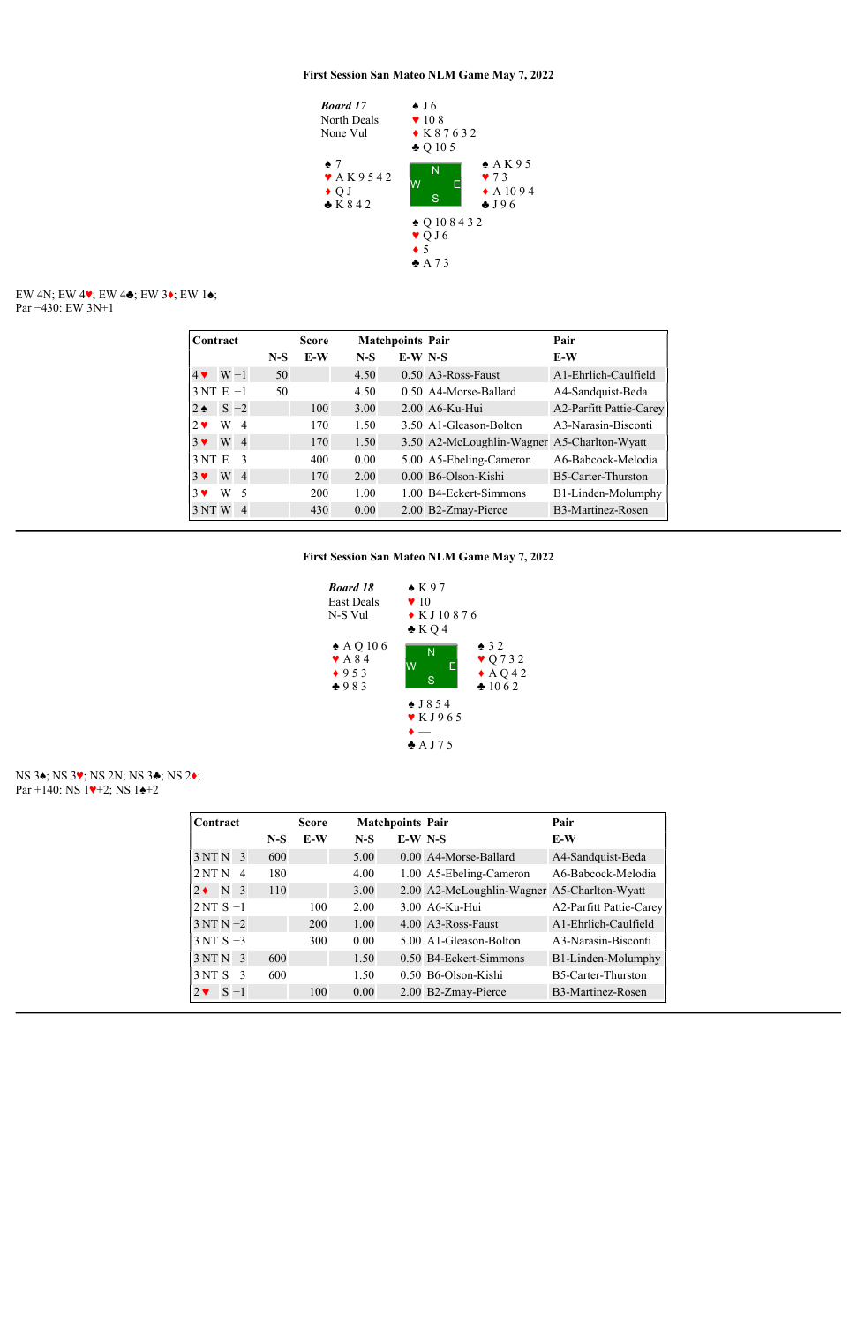

#### EW 4N; EW 4♥; EW 4♣; EW 3♦; EW 1♠; Par −430: EW 3N+1

## NS 3♠; NS 3♥; NS 2N; NS 3♣; NS 2♦; Par +140: NS  $1\blacktriangleright 2$ ; NS  $1\blacktriangle +2$

|                   | Contract                 |       | <b>Score</b> |       | <b>Matchpoints Pair</b> |                                             | Pair                           |
|-------------------|--------------------------|-------|--------------|-------|-------------------------|---------------------------------------------|--------------------------------|
|                   |                          | $N-S$ | $E-W$        | $N-S$ | $E-W$ N-S               |                                             | E-W                            |
| $4 \vee W - 1$    |                          | 50    |              | 4.50  |                         | 0.50 A3-Ross-Faust                          | A1-Ehrlich-Caulfield           |
| $3NT E -1$        |                          | 50    |              | 4.50  |                         | 0.50 A4-Morse-Ballard                       | A4-Sandquist-Beda              |
| $2 \triangleleft$ | $S -2$                   |       | 100          | 3.00  |                         | 2.00 A6-Ku-Hui                              | <b>A2-Parfitt Pattie-Carey</b> |
| W<br>$2 \bullet$  | $\overline{4}$           |       | 170          | 1.50  |                         | 3.50 A1-Gleason-Bolton                      | A3-Narasin-Bisconti            |
| W<br>$3 \vee$     | $\overline{4}$           |       | 170          | 1.50  |                         | 3.50 A2-McLoughlin-Wagner A5-Charlton-Wyatt |                                |
| 3NTE              | $\mathcal{R}$            |       | 400          | 0.00  |                         | 5.00 A5-Ebeling-Cameron                     | A6-Babcock-Melodia             |
| W<br>$3 \vee$     | $\overline{4}$           |       | 170          | 2.00  |                         | $0.00$ B <sub>6</sub> -Olson-Kishi          | B5-Carter-Thurston             |
| W<br>$3 \vee$     | $\overline{\mathcal{L}}$ |       | <b>200</b>   | 1.00  |                         | 1.00 B4-Eckert-Simmons                      | B1-Linden-Molumphy             |
| 3 NT W            | $\overline{4}$           |       | 430          | 0.00  |                         | 2.00 B2-Zmay-Pierce                         | B3-Martinez-Rosen              |



| Contract                          |       | <b>Score</b> | <b>Matchpoints Pair</b> |           |                                             | Pair                           |
|-----------------------------------|-------|--------------|-------------------------|-----------|---------------------------------------------|--------------------------------|
|                                   | $N-S$ | $E-W$        | $N-S$                   | $E-W$ N-S |                                             | E-W                            |
| 3NTN <sub>3</sub>                 | 600   |              | 5.00                    |           | 0.00 A4-Morse-Ballard                       | A4-Sandquist-Beda              |
| 2NTN<br>$\overline{4}$            | 180   |              | 4.00                    |           | 1.00 A5-Ebeling-Cameron                     | A6-Babcock-Melodia             |
| $2 \bullet \quad N \quad 3$       | 110   |              | 3.00                    |           | 2.00 A2-McLoughlin-Wagner A5-Charlton-Wyatt |                                |
| $2NTS-1$                          |       | 100          | 2.00                    |           | $3.00$ A6-Ku-Hui                            | <b>A2-Parfitt Pattie-Carey</b> |
| $3NTN-2$                          |       | 200          | 1.00                    |           | 4.00 A3-Ross-Faust                          | A1-Ehrlich-Caulfield           |
| $3NTS - 3$                        |       | 300          | 0.00                    |           | 5.00 A1-Gleason-Bolton                      | A3-Narasin-Bisconti            |
| 3NTN <sub>3</sub>                 | 600   |              | 1.50                    |           | 0.50 B4-Eckert-Simmons                      | B1-Linden-Molumphy             |
| 3NTS <sub>3</sub>                 | 600   |              | 1.50                    |           | 0.50 B6-Olson-Kishi                         | B5-Carter-Thurston             |
| $S - 1$<br>$2 \blacktriangledown$ |       | 100          | 0.00                    |           | 2.00 B2-Zmay-Pierce                         | B3-Martinez-Rosen              |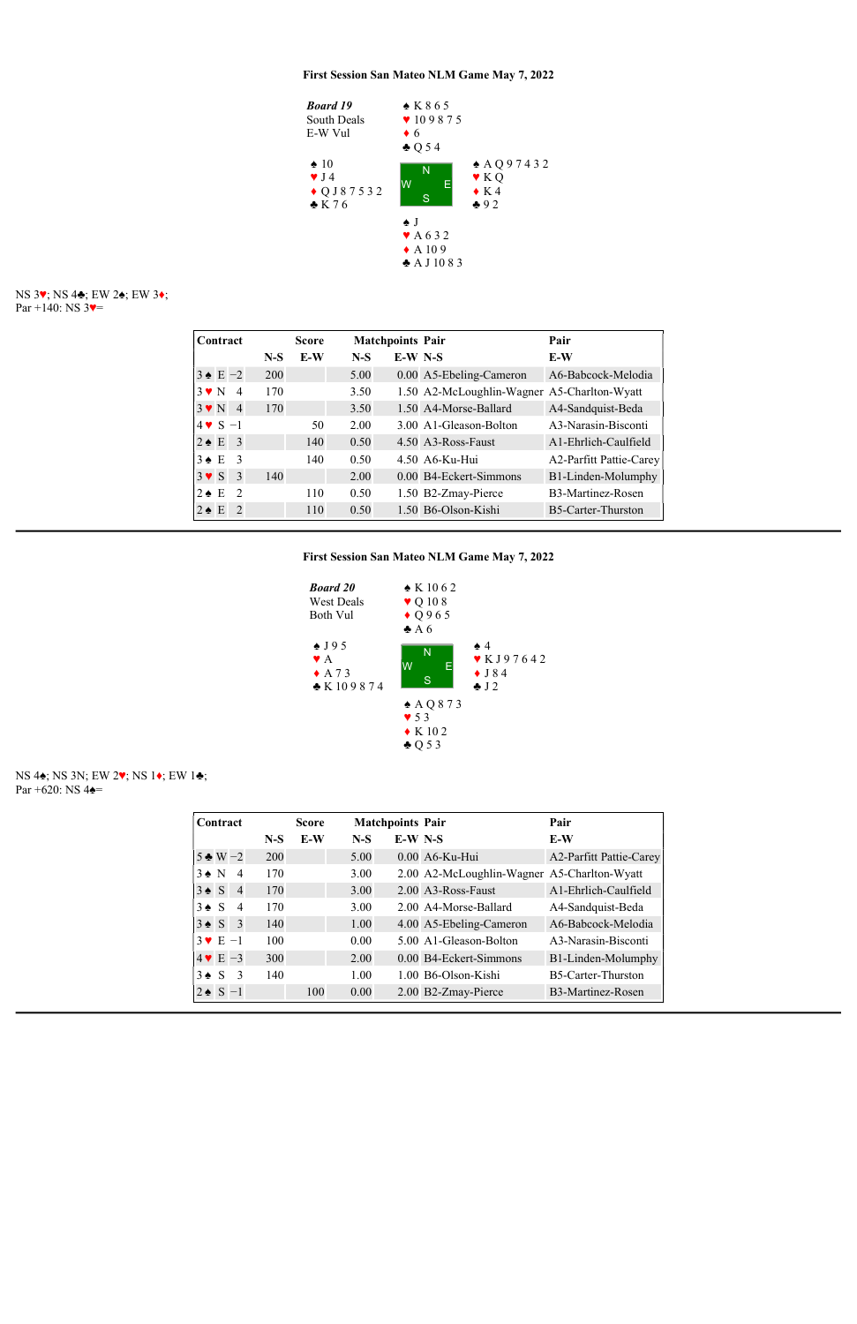NS 3♥; NS 4♣; EW 2♠; EW 3♦; Par +140: NS  $3$ .



NS 4♠; NS 3N; EW 2♥; NS 1♦; EW 1♣; Par +620: NS  $4\triangleq$ =

| Contract                                   |       | <b>Score</b> | <b>Matchpoints Pair</b> |           |                                             | Pair                           |
|--------------------------------------------|-------|--------------|-------------------------|-----------|---------------------------------------------|--------------------------------|
|                                            | $N-S$ | E-W          | $N-S$                   | $E-W$ N-S |                                             | E-W                            |
| $3 \triangleq E - 2$                       | 200   |              | 5.00                    |           | 0.00 A5-Ebeling-Cameron                     | A6-Babcock-Melodia             |
| $3 \vee N$<br>$\overline{4}$               | 170   |              | 3.50                    |           | 1.50 A2-McLoughlin-Wagner A5-Charlton-Wyatt |                                |
| $3 \vee N$<br>$\overline{4}$               | 170   |              | 3.50                    |           | 1.50 A4-Morse-Ballard                       | A4-Sandquist-Beda              |
| $4 \cdot S - 1$                            |       | 50           | 2.00                    |           | 3.00 A1-Gleason-Bolton                      | A3-Narasin-Bisconti            |
| $2 \triangle E$<br>$\overline{\mathbf{3}}$ |       | 140          | 0.50                    |           | 4.50 A3-Ross-Faust                          | A1-Ehrlich-Caulfield           |
| $3 \triangle E$<br>-3                      |       | 140          | 0.50                    |           | 4.50 A6-Ku-Hui                              | <b>A2-Parfitt Pattie-Carey</b> |
| $3 \vee S$<br>3                            | 140   |              | 2.00                    |           | 0.00 B4-Eckert-Simmons                      | B1-Linden-Molumphy             |
| $2 \triangle E$<br>$\mathcal{D}$           |       | 110          | 0.50                    |           | 1.50 B2-Zmay-Pierce                         | B <sub>3</sub> -Martinez-Rosen |
| $2 \triangle E$<br>$\mathcal{L}$           |       | 110          | 0.50                    |           | 1.50 B6-Olson-Kishi                         | B5-Carter-Thurston             |

First Session San Mateo NLM Game May 7, 2022



| Contract                |              |                         |       | <b>Score</b> |       | <b>Matchpoints Pair</b> |                                             | Pair                           |
|-------------------------|--------------|-------------------------|-------|--------------|-------|-------------------------|---------------------------------------------|--------------------------------|
|                         |              |                         | $N-S$ | E-W          | $N-S$ | $E-W$ N-S               |                                             | E-W                            |
| $5 \triangleleft W - 2$ |              |                         | 200   |              | 5.00  |                         | 0.00 A6-Ku-Hui                              | <b>A2-Parfitt Pattie-Carey</b> |
| $3 \bullet N$           |              | $\overline{4}$          | 170   |              | 3.00  |                         | 2.00 A2-McLoughlin-Wagner A5-Charlton-Wyatt |                                |
| $3 \bullet$             | <sub>S</sub> | $\overline{4}$          | 170   |              | 3.00  |                         | 2.00 A3-Ross-Faust                          | A 1-Ehrlich-Caulfield          |
| $3 \bullet S$           |              | $\overline{4}$          | 170   |              | 3.00  |                         | 2.00 A4-Morse-Ballard                       | A4-Sandquist-Beda              |
| $3 \triangle 5$ 3       |              |                         | 140   |              | 1.00  |                         | 4.00 A5-Ebeling-Cameron                     | A6-Babcock-Melodia             |
| $3 \vee E - 1$          |              |                         | 100   |              | 0.00  |                         | 5.00 A1-Gleason-Bolton                      | A3-Narasin-Bisconti            |
| $4 \vee E - 3$          |              |                         | 300   |              | 2.00  |                         | 0.00 B4-Eckert-Simmons                      | B1-Linden-Molumphy             |
| $3 \bullet$             | S.           | $\overline{\mathbf{3}}$ | 140   |              | 1.00  |                         | 1.00 B6-Olson-Kishi                         | B5-Carter-Thurston             |
| $2 \cdot S - 1$         |              |                         |       | 100          | 0.00  |                         | 2.00 B2-Zmay-Pierce                         | B3-Martinez-Rosen              |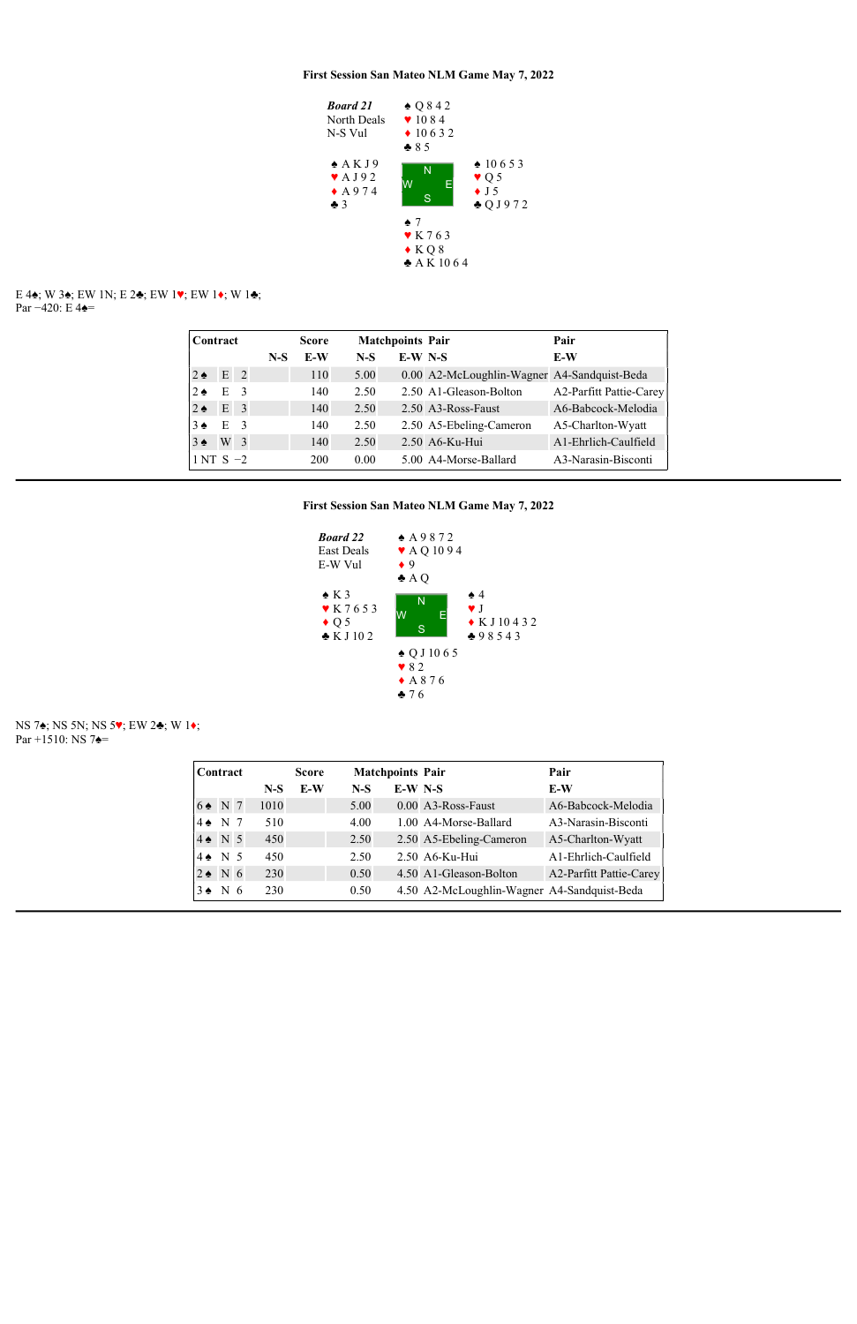

E 4♠; W 3♠; EW 1N; E 2♣; EW 1♥; EW 1♦; W 1♣; Par –420: E 4 $\triangleq$ =

|                   | Contract       |                |       | <b>Score</b> |       | <b>Matchpoints Pair</b> |                                             | Pair                    |
|-------------------|----------------|----------------|-------|--------------|-------|-------------------------|---------------------------------------------|-------------------------|
|                   |                |                | $N-S$ | E-W          | $N-S$ | $E-W$ N-S               |                                             | E-W                     |
| $2 \triangleleft$ | $E$ 2          |                |       | 110          | 5.00  |                         | 0.00 A2-McLoughlin-Wagner A4-Sandquist-Beda |                         |
| $2 \triangleleft$ | E              | $\overline{3}$ |       | 140          | 2.50  |                         | 2.50 A1-Gleason-Bolton                      | A2-Parfitt Pattie-Carey |
| $2 \triangleleft$ | E <sub>3</sub> |                |       | 140          | 2.50  |                         | 2.50 A3-Ross-Faust                          | A6-Babcock-Melodia      |
| $3\spadesuit$     | $E \quad 3$    |                |       | 140          | 2.50  |                         | 2.50 A5-Ebeling-Cameron                     | A5-Charlton-Wyatt       |
| $3 \triangle$     | W <sub>3</sub> |                |       | 140          | 2.50  |                         | 2.50 A6-Ku-Hui                              | A1-Ehrlich-Caulfield    |
| $1NT S -2$        |                |                |       | 200          | 0.00  |                         | 5.00 A4-Morse-Ballard                       | A3-Narasin-Bisconti     |



NS 7♠; NS 5N; NS 5♥; EW 2♣; W 1♦; Par +1510: NS 7**↑**=

| Contract           |  |       | <b>Score</b> | <b>Matchpoints Pair</b> |           |                                             | Pair                           |
|--------------------|--|-------|--------------|-------------------------|-----------|---------------------------------------------|--------------------------------|
|                    |  | $N-S$ | E-W          | $N-S$                   | $E-W$ N-S |                                             | E-W                            |
| $6 \triangleq$ N 7 |  | 1010  |              | 5.00                    |           | 0.00 A3-Ross-Faust                          | A6-Babcock-Melodia             |
| $4 \cdot N$ 7      |  | 510   |              | 4.00                    |           | 1.00 A4-Morse-Ballard                       | A3-Narasin-Bisconti            |
| $4 \bullet N 5$    |  | 450   |              | 2.50                    |           | 2.50 A5-Ebeling-Cameron                     | A5-Charlton-Wyatt              |
| $4 \cdot N$ 5      |  | 450   |              | 2.50                    |           | 2.50 A6-Ku-Hui                              | A1-Ehrlich-Caulfield           |
| $2 \cdot N$ 6      |  | 230   |              | 0.50                    |           | 4.50 A1-Gleason-Bolton                      | <b>A2-Parfitt Pattie-Carey</b> |
| $3 \cdot N$ 6      |  | 230   |              | 0.50                    |           | 4.50 A2-McLoughlin-Wagner A4-Sandquist-Beda |                                |